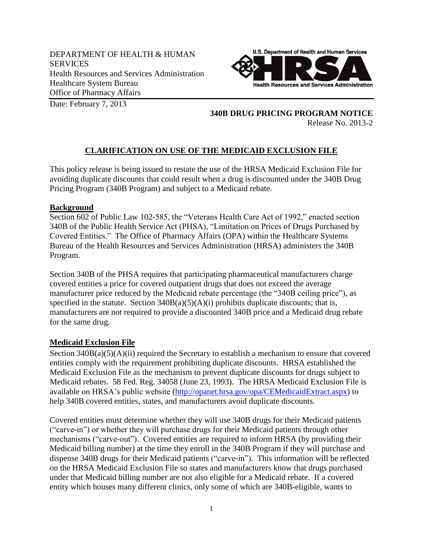DEPARTMENT OF HEALTH & HUMAN **SERVICES** Health Resources and Services Administration Healthcare System Bureau Office of Pharmacy Affairs



Date: February 7, 2013

**340B DRUG PRICING PROGRAM NOTICE** Release No. 2013-2

## **CLARIFICATION ON USE OF THE MEDICAID EXCLUSION FILE**

This policy release is being issued to restate the use of the HRSA Medicaid Exclusion File for avoiding duplicate discounts that could result when a drug is discounted under the 340B Drug Pricing Program (340B Program) and subject to a Medicaid rebate.

## **Background**

Section 602 of Public Law 102-585, the "Veterans Health Care Act of 1992," enacted section 340B of the Public Health Service Act (PHSA), "Limitation on Prices of Drugs Purchased by Covered Entities." The Office of Pharmacy Affairs (OPA) within the Healthcare Systems Bureau of the Health Resources and Services Administration (HRSA) administers the 340B Program.

Section 340B of the PHSA requires that participating pharmaceutical manufacturers charge covered entities a price for covered outpatient drugs that does not exceed the average manufacturer price reduced by the Medicaid rebate percentage (the "340B ceiling price"), as specified in the statute. Section  $340B(a)(5)(A)(i)$  prohibits duplicate discounts; that is, manufacturers are not required to provide a discounted 340B price and a Medicaid drug rebate for the same drug.

## **Medicaid Exclusion File**

Section  $340B(a)(5)(A)(ii)$  required the Secretary to establish a mechanism to ensure that covered entities comply with the requirement prohibiting duplicate discounts. HRSA established the Medicaid Exclusion File as the mechanism to prevent duplicate discounts for drugs subject to Medicaid rebates. 58 Fed. Reg. 34058 (June 23, 1993). The HRSA Medicaid Exclusion File is available on HRSA's public website [\(http://opanet.hrsa.gov/opa/CEMedicaidExtract.aspx\)](http://opanet.hrsa.gov/opa/CEMedicaidExtract.aspx) to help 340B covered entities, states, and manufacturers avoid duplicate discounts.

Covered entities must determine whether they will use 340B drugs for their Medicaid patients ("carve-in") or whether they will purchase drugs for their Medicaid patients through other mechanisms ("carve-out"). Covered entities are required to inform HRSA (by providing their Medicaid billing number) at the time they enroll in the 340B Program if they will purchase and dispense 340B drugs for their Medicaid patients ("carve-in"). This information will be reflected on the HRSA Medicaid Exclusion File so states and manufacturers know that drugs purchased under that Medicaid billing number are not also eligible for a Medicaid rebate. If a covered entity which houses many different clinics, only some of which are 340B-eligible, wants to